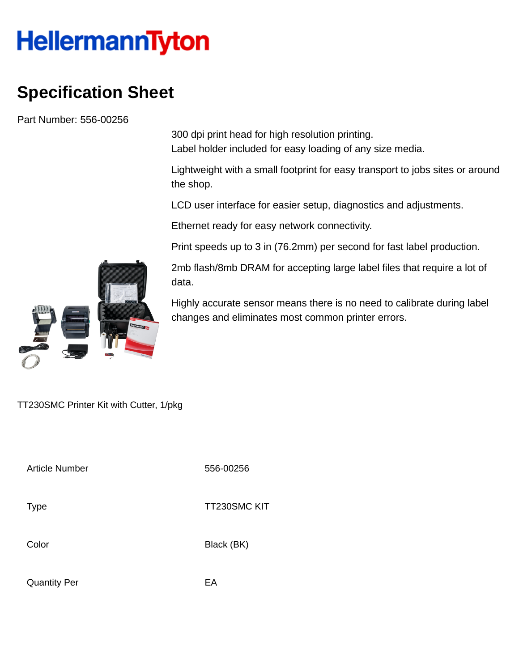## **HellermannTyton**

## **Specification Sheet**

Part Number: 556-00256

300 dpi print head for high resolution printing. Label holder included for easy loading of any size media.

Lightweight with a small footprint for easy transport to jobs sites or around the shop.

LCD user interface for easier setup, diagnostics and adjustments.

Ethernet ready for easy network connectivity.

Print speeds up to 3 in (76.2mm) per second for fast label production.

2mb flash/8mb DRAM for accepting large label files that require a lot of data.

Highly accurate sensor means there is no need to calibrate during label changes and eliminates most common printer errors.



TT230SMC Printer Kit with Cutter, 1/pkg

Article Number 556-00256

Type Type TT230SMC KIT

Color Black (BK)

Quantity Per **EA**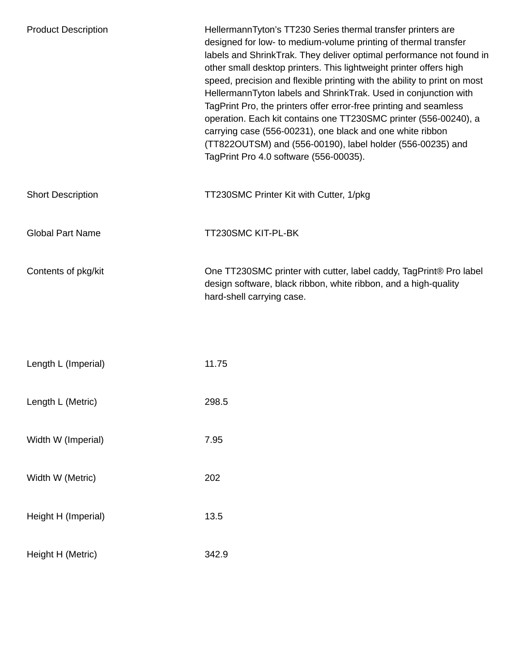| <b>Product Description</b> | HellermannTyton's TT230 Series thermal transfer printers are<br>designed for low- to medium-volume printing of thermal transfer<br>labels and ShrinkTrak. They deliver optimal performance not found in<br>other small desktop printers. This lightweight printer offers high<br>speed, precision and flexible printing with the ability to print on most<br>HellermannTyton labels and ShrinkTrak. Used in conjunction with<br>TagPrint Pro, the printers offer error-free printing and seamless<br>operation. Each kit contains one TT230SMC printer (556-00240), a<br>carrying case (556-00231), one black and one white ribbon<br>(TT822OUTSM) and (556-00190), label holder (556-00235) and<br>TagPrint Pro 4.0 software (556-00035). |
|----------------------------|--------------------------------------------------------------------------------------------------------------------------------------------------------------------------------------------------------------------------------------------------------------------------------------------------------------------------------------------------------------------------------------------------------------------------------------------------------------------------------------------------------------------------------------------------------------------------------------------------------------------------------------------------------------------------------------------------------------------------------------------|
| <b>Short Description</b>   | TT230SMC Printer Kit with Cutter, 1/pkg                                                                                                                                                                                                                                                                                                                                                                                                                                                                                                                                                                                                                                                                                                    |
| <b>Global Part Name</b>    | TT230SMC KIT-PL-BK                                                                                                                                                                                                                                                                                                                                                                                                                                                                                                                                                                                                                                                                                                                         |
| Contents of pkg/kit        | One TT230SMC printer with cutter, label caddy, TagPrint® Pro label<br>design software, black ribbon, white ribbon, and a high-quality<br>hard-shell carrying case.                                                                                                                                                                                                                                                                                                                                                                                                                                                                                                                                                                         |
|                            |                                                                                                                                                                                                                                                                                                                                                                                                                                                                                                                                                                                                                                                                                                                                            |
| Length L (Imperial)        | 11.75                                                                                                                                                                                                                                                                                                                                                                                                                                                                                                                                                                                                                                                                                                                                      |
| Length L (Metric)          | 298.5                                                                                                                                                                                                                                                                                                                                                                                                                                                                                                                                                                                                                                                                                                                                      |
| Width W (Imperial)         | 7.95                                                                                                                                                                                                                                                                                                                                                                                                                                                                                                                                                                                                                                                                                                                                       |
| Width W (Metric)           | 202                                                                                                                                                                                                                                                                                                                                                                                                                                                                                                                                                                                                                                                                                                                                        |
| Height H (Imperial)        | 13.5                                                                                                                                                                                                                                                                                                                                                                                                                                                                                                                                                                                                                                                                                                                                       |
| Height H (Metric)          | 342.9                                                                                                                                                                                                                                                                                                                                                                                                                                                                                                                                                                                                                                                                                                                                      |